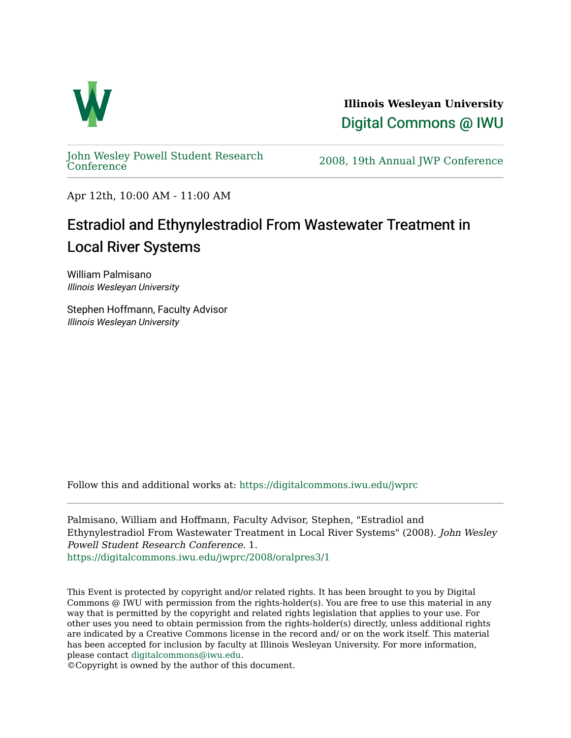

**Illinois Wesleyan University**  [Digital Commons @ IWU](https://digitalcommons.iwu.edu/) 

[John Wesley Powell Student Research](https://digitalcommons.iwu.edu/jwprc) 

2008, 19th Annual JWP [Conference](https://digitalcommons.iwu.edu/jwprc)

Apr 12th, 10:00 AM - 11:00 AM

## Estradiol and Ethynylestradiol From Wastewater Treatment in Local River Systems

William Palmisano Illinois Wesleyan University

Stephen Hoffmann, Faculty Advisor Illinois Wesleyan University

Follow this and additional works at: [https://digitalcommons.iwu.edu/jwprc](https://digitalcommons.iwu.edu/jwprc?utm_source=digitalcommons.iwu.edu%2Fjwprc%2F2008%2Foralpres3%2F1&utm_medium=PDF&utm_campaign=PDFCoverPages) 

Palmisano, William and Hoffmann, Faculty Advisor, Stephen, "Estradiol and Ethynylestradiol From Wastewater Treatment in Local River Systems" (2008). John Wesley Powell Student Research Conference. 1. [https://digitalcommons.iwu.edu/jwprc/2008/oralpres3/1](https://digitalcommons.iwu.edu/jwprc/2008/oralpres3/1?utm_source=digitalcommons.iwu.edu%2Fjwprc%2F2008%2Foralpres3%2F1&utm_medium=PDF&utm_campaign=PDFCoverPages)

This Event is protected by copyright and/or related rights. It has been brought to you by Digital Commons @ IWU with permission from the rights-holder(s). You are free to use this material in any way that is permitted by the copyright and related rights legislation that applies to your use. For other uses you need to obtain permission from the rights-holder(s) directly, unless additional rights are indicated by a Creative Commons license in the record and/ or on the work itself. This material has been accepted for inclusion by faculty at Illinois Wesleyan University. For more information, please contact [digitalcommons@iwu.edu.](mailto:digitalcommons@iwu.edu)

©Copyright is owned by the author of this document.